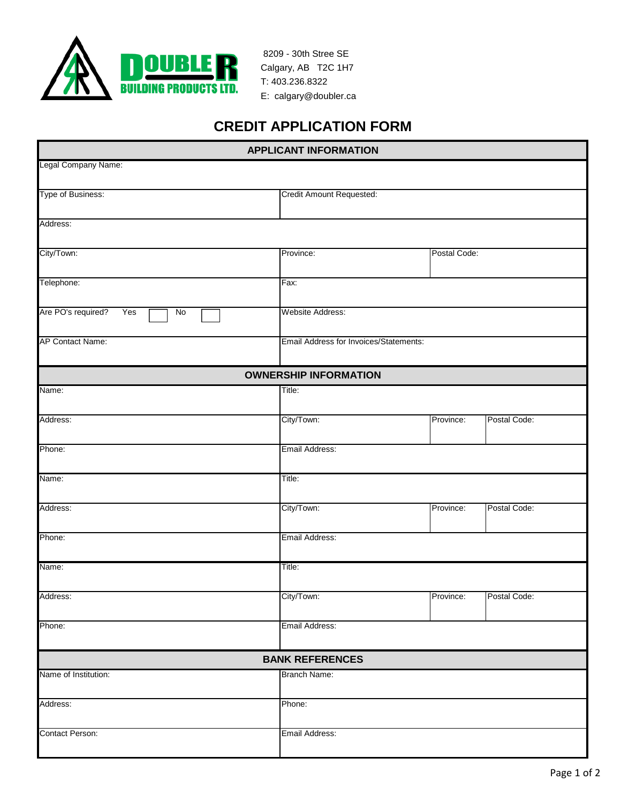

 8209 - 30th Stree SE Calgary, AB T2C 1H7 T: 403.236.8322 E: calgary@doubler.ca

## **CREDIT APPLICATION FORM**

| <b>APPLICANT INFORMATION</b>    |                              |                                        |              |  |
|---------------------------------|------------------------------|----------------------------------------|--------------|--|
| Legal Company Name:             |                              |                                        |              |  |
| Type of Business:               | Credit Amount Requested:     |                                        |              |  |
| Address:                        |                              |                                        |              |  |
| City/Town:                      | Province:                    |                                        | Postal Code: |  |
| Telephone:                      | Fax:                         |                                        |              |  |
| Are PO's required?<br>Yes<br>No | Website Address:             |                                        |              |  |
| AP Contact Name:                |                              | Email Address for Invoices/Statements: |              |  |
|                                 | <b>OWNERSHIP INFORMATION</b> |                                        |              |  |
| Name:                           | Title:                       |                                        |              |  |
| Address:                        | City/Town:                   | Province:                              | Postal Code: |  |
| Phone:                          | Email Address:               |                                        |              |  |
| Name:                           | Title:                       |                                        |              |  |
| Address:                        | City/Town:                   | Province:                              | Postal Code: |  |
| Phone:                          | Email Address:               |                                        |              |  |
| Name:                           | Title:                       |                                        |              |  |
| Address:                        | City/Town:                   | Province:                              | Postal Code: |  |
| Phone:                          | Email Address:               |                                        |              |  |
|                                 | <b>BANK REFERENCES</b>       |                                        |              |  |
| Name of Institution:            | Branch Name:                 |                                        |              |  |
| Address:                        | Phone:                       |                                        |              |  |
| <b>Contact Person:</b>          | Email Address:               |                                        |              |  |